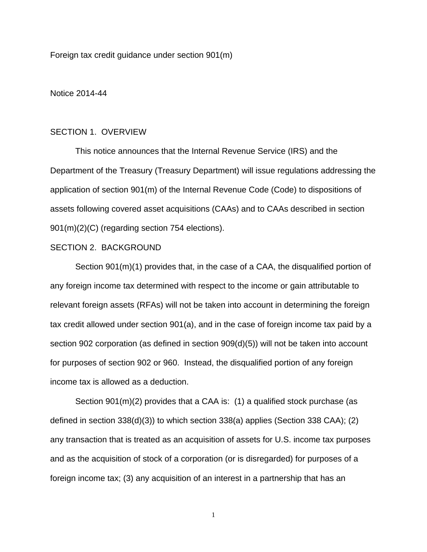Foreign tax credit guidance under section 901(m)

Notice 2014-44

### SECTION 1. OVERVIEW

This notice announces that the Internal Revenue Service (IRS) and the Department of the Treasury (Treasury Department) will issue regulations addressing the application of section 901(m) of the Internal Revenue Code (Code) to dispositions of assets following covered asset acquisitions (CAAs) and to CAAs described in section 901(m)(2)(C) (regarding section 754 elections).

#### SECTION 2. BACKGROUND

Section 901(m)(1) provides that, in the case of a CAA, the disqualified portion of any foreign income tax determined with respect to the income or gain attributable to relevant foreign assets (RFAs) will not be taken into account in determining the foreign tax credit allowed under section 901(a), and in the case of foreign income tax paid by a section 902 corporation (as defined in section 909(d)(5)) will not be taken into account for purposes of section 902 or 960. Instead, the disqualified portion of any foreign income tax is allowed as a deduction.

Section 901(m)(2) provides that a CAA is: (1) a qualified stock purchase (as defined in section 338(d)(3)) to which section 338(a) applies (Section 338 CAA); (2) any transaction that is treated as an acquisition of assets for U.S. income tax purposes and as the acquisition of stock of a corporation (or is disregarded) for purposes of a foreign income tax; (3) any acquisition of an interest in a partnership that has an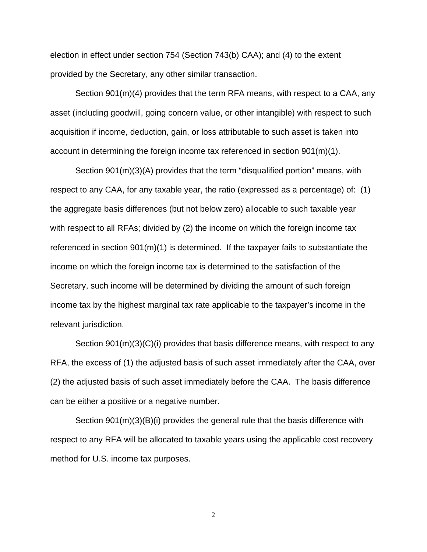election in effect under section 754 (Section 743(b) CAA); and (4) to the extent provided by the Secretary, any other similar transaction.

Section 901(m)(4) provides that the term RFA means, with respect to a CAA, any asset (including goodwill, going concern value, or other intangible) with respect to such acquisition if income, deduction, gain, or loss attributable to such asset is taken into account in determining the foreign income tax referenced in section 901(m)(1).

Section 901(m)(3)(A) provides that the term "disqualified portion" means, with respect to any CAA, for any taxable year, the ratio (expressed as a percentage) of: (1) the aggregate basis differences (but not below zero) allocable to such taxable year with respect to all RFAs; divided by (2) the income on which the foreign income tax referenced in section  $901(m)(1)$  is determined. If the taxpayer fails to substantiate the income on which the foreign income tax is determined to the satisfaction of the Secretary, such income will be determined by dividing the amount of such foreign income tax by the highest marginal tax rate applicable to the taxpayer's income in the relevant jurisdiction.

Section 901(m)(3)(C)(i) provides that basis difference means, with respect to any RFA, the excess of (1) the adjusted basis of such asset immediately after the CAA, over (2) the adjusted basis of such asset immediately before the CAA. The basis difference can be either a positive or a negative number.

Section 901(m)(3)(B)(i) provides the general rule that the basis difference with respect to any RFA will be allocated to taxable years using the applicable cost recovery method for U.S. income tax purposes.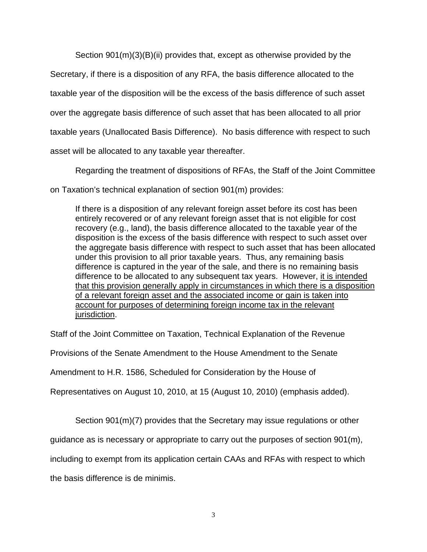Section 901(m)(3)(B)(ii) provides that, except as otherwise provided by the

Secretary, if there is a disposition of any RFA, the basis difference allocated to the

taxable year of the disposition will be the excess of the basis difference of such asset

over the aggregate basis difference of such asset that has been allocated to all prior

taxable years (Unallocated Basis Difference). No basis difference with respect to such

asset will be allocated to any taxable year thereafter.

Regarding the treatment of dispositions of RFAs, the Staff of the Joint Committee

on Taxation's technical explanation of section 901(m) provides:

If there is a disposition of any relevant foreign asset before its cost has been entirely recovered or of any relevant foreign asset that is not eligible for cost recovery (e.g., land), the basis difference allocated to the taxable year of the disposition is the excess of the basis difference with respect to such asset over the aggregate basis difference with respect to such asset that has been allocated under this provision to all prior taxable years. Thus, any remaining basis difference is captured in the year of the sale, and there is no remaining basis difference to be allocated to any subsequent tax years. However, it is intended that this provision generally apply in circumstances in which there is a disposition of a relevant foreign asset and the associated income or gain is taken into account for purposes of determining foreign income tax in the relevant jurisdiction.

Staff of the Joint Committee on Taxation, Technical Explanation of the Revenue

Provisions of the Senate Amendment to the House Amendment to the Senate

Amendment to H.R. 1586, Scheduled for Consideration by the House of

Representatives on August 10, 2010, at 15 (August 10, 2010) (emphasis added).

Section 901(m)(7) provides that the Secretary may issue regulations or other

guidance as is necessary or appropriate to carry out the purposes of section 901(m),

including to exempt from its application certain CAAs and RFAs with respect to which

the basis difference is de minimis.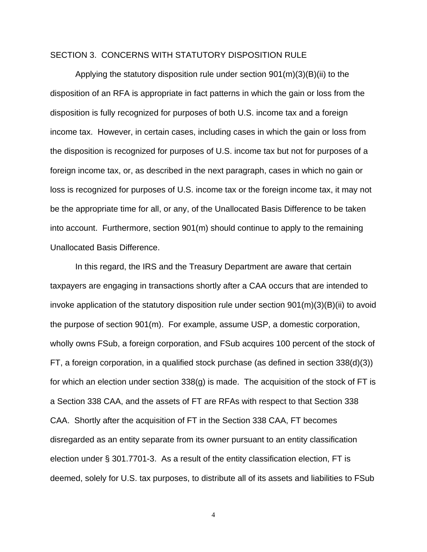### SECTION 3. CONCERNS WITH STATUTORY DISPOSITION RULE

Applying the statutory disposition rule under section 901(m)(3)(B)(ii) to the disposition of an RFA is appropriate in fact patterns in which the gain or loss from the disposition is fully recognized for purposes of both U.S. income tax and a foreign income tax. However, in certain cases, including cases in which the gain or loss from the disposition is recognized for purposes of U.S. income tax but not for purposes of a foreign income tax, or, as described in the next paragraph, cases in which no gain or loss is recognized for purposes of U.S. income tax or the foreign income tax, it may not be the appropriate time for all, or any, of the Unallocated Basis Difference to be taken into account. Furthermore, section 901(m) should continue to apply to the remaining Unallocated Basis Difference.

In this regard, the IRS and the Treasury Department are aware that certain taxpayers are engaging in transactions shortly after a CAA occurs that are intended to invoke application of the statutory disposition rule under section 901(m)(3)(B)(ii) to avoid the purpose of section 901(m). For example, assume USP, a domestic corporation, wholly owns FSub, a foreign corporation, and FSub acquires 100 percent of the stock of FT, a foreign corporation, in a qualified stock purchase (as defined in section 338(d)(3)) for which an election under section 338(g) is made. The acquisition of the stock of FT is a Section 338 CAA, and the assets of FT are RFAs with respect to that Section 338 CAA. Shortly after the acquisition of FT in the Section 338 CAA, FT becomes disregarded as an entity separate from its owner pursuant to an entity classification election under § 301.7701-3. As a result of the entity classification election, FT is deemed, solely for U.S. tax purposes, to distribute all of its assets and liabilities to FSub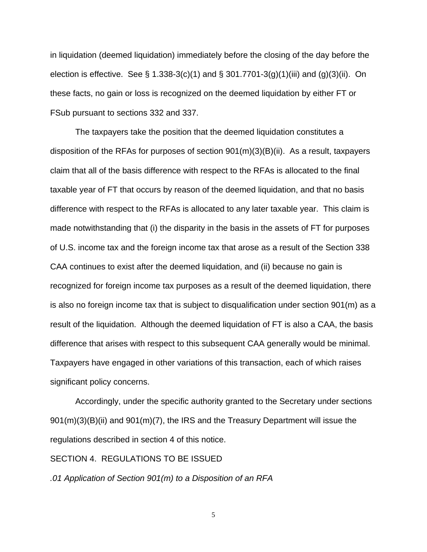in liquidation (deemed liquidation) immediately before the closing of the day before the election is effective. See § 1.338-3(c)(1) and § 301.7701-3(g)(1)(iii) and (g)(3)(ii). On these facts, no gain or loss is recognized on the deemed liquidation by either FT or FSub pursuant to sections 332 and 337.

The taxpayers take the position that the deemed liquidation constitutes a disposition of the RFAs for purposes of section  $901(m)(3)(B)(ii)$ . As a result, taxpayers claim that all of the basis difference with respect to the RFAs is allocated to the final taxable year of FT that occurs by reason of the deemed liquidation, and that no basis difference with respect to the RFAs is allocated to any later taxable year. This claim is made notwithstanding that (i) the disparity in the basis in the assets of FT for purposes of U.S. income tax and the foreign income tax that arose as a result of the Section 338 CAA continues to exist after the deemed liquidation, and (ii) because no gain is recognized for foreign income tax purposes as a result of the deemed liquidation, there is also no foreign income tax that is subject to disqualification under section 901(m) as a result of the liquidation. Although the deemed liquidation of FT is also a CAA, the basis difference that arises with respect to this subsequent CAA generally would be minimal. Taxpayers have engaged in other variations of this transaction, each of which raises significant policy concerns.

Accordingly, under the specific authority granted to the Secretary under sections 901(m)(3)(B)(ii) and 901(m)(7), the IRS and the Treasury Department will issue the regulations described in section 4 of this notice.

#### SECTION 4. REGULATIONS TO BE ISSUED

*.01 Application of Section 901(m) to a Disposition of an RFA*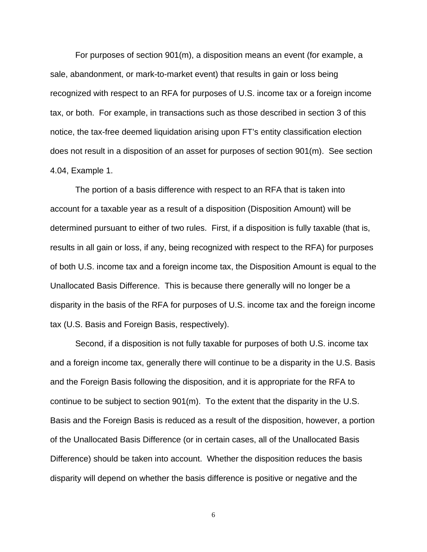For purposes of section 901(m), a disposition means an event (for example, a sale, abandonment, or mark-to-market event) that results in gain or loss being recognized with respect to an RFA for purposes of U.S. income tax or a foreign income tax, or both. For example, in transactions such as those described in section 3 of this notice, the tax-free deemed liquidation arising upon FT's entity classification election does not result in a disposition of an asset for purposes of section 901(m). See section 4.04, Example 1.

The portion of a basis difference with respect to an RFA that is taken into account for a taxable year as a result of a disposition (Disposition Amount) will be determined pursuant to either of two rules. First, if a disposition is fully taxable (that is, results in all gain or loss, if any, being recognized with respect to the RFA) for purposes of both U.S. income tax and a foreign income tax, the Disposition Amount is equal to the Unallocated Basis Difference. This is because there generally will no longer be a disparity in the basis of the RFA for purposes of U.S. income tax and the foreign income tax (U.S. Basis and Foreign Basis, respectively).

Second, if a disposition is not fully taxable for purposes of both U.S. income tax and a foreign income tax, generally there will continue to be a disparity in the U.S. Basis and the Foreign Basis following the disposition, and it is appropriate for the RFA to continue to be subject to section 901(m). To the extent that the disparity in the U.S. Basis and the Foreign Basis is reduced as a result of the disposition, however, a portion of the Unallocated Basis Difference (or in certain cases, all of the Unallocated Basis Difference) should be taken into account. Whether the disposition reduces the basis disparity will depend on whether the basis difference is positive or negative and the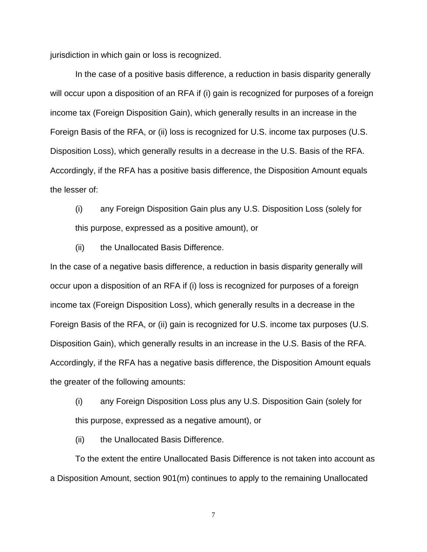jurisdiction in which gain or loss is recognized.

In the case of a positive basis difference, a reduction in basis disparity generally will occur upon a disposition of an RFA if (i) gain is recognized for purposes of a foreign income tax (Foreign Disposition Gain), which generally results in an increase in the Foreign Basis of the RFA, or (ii) loss is recognized for U.S. income tax purposes (U.S. Disposition Loss), which generally results in a decrease in the U.S. Basis of the RFA. Accordingly, if the RFA has a positive basis difference, the Disposition Amount equals the lesser of:

(i) any Foreign Disposition Gain plus any U.S. Disposition Loss (solely for this purpose, expressed as a positive amount), or

(ii) the Unallocated Basis Difference.

In the case of a negative basis difference, a reduction in basis disparity generally will occur upon a disposition of an RFA if (i) loss is recognized for purposes of a foreign income tax (Foreign Disposition Loss), which generally results in a decrease in the Foreign Basis of the RFA, or (ii) gain is recognized for U.S. income tax purposes (U.S. Disposition Gain), which generally results in an increase in the U.S. Basis of the RFA. Accordingly, if the RFA has a negative basis difference, the Disposition Amount equals the greater of the following amounts:

(i) any Foreign Disposition Loss plus any U.S. Disposition Gain (solely for this purpose, expressed as a negative amount), or

(ii) the Unallocated Basis Difference.

To the extent the entire Unallocated Basis Difference is not taken into account as a Disposition Amount, section 901(m) continues to apply to the remaining Unallocated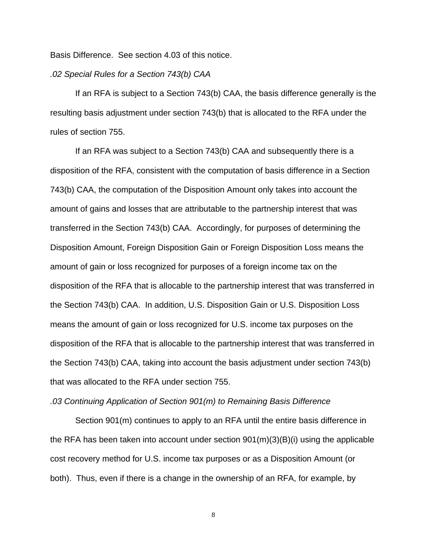Basis Difference. See section 4.03 of this notice.

### *.02 Special Rules for a Section 743(b) CAA*

If an RFA is subject to a Section 743(b) CAA, the basis difference generally is the resulting basis adjustment under section 743(b) that is allocated to the RFA under the rules of section 755.

If an RFA was subject to a Section 743(b) CAA and subsequently there is a disposition of the RFA, consistent with the computation of basis difference in a Section 743(b) CAA, the computation of the Disposition Amount only takes into account the amount of gains and losses that are attributable to the partnership interest that was transferred in the Section 743(b) CAA. Accordingly, for purposes of determining the Disposition Amount, Foreign Disposition Gain or Foreign Disposition Loss means the amount of gain or loss recognized for purposes of a foreign income tax on the disposition of the RFA that is allocable to the partnership interest that was transferred in the Section 743(b) CAA. In addition, U.S. Disposition Gain or U.S. Disposition Loss means the amount of gain or loss recognized for U.S. income tax purposes on the disposition of the RFA that is allocable to the partnership interest that was transferred in the Section 743(b) CAA, taking into account the basis adjustment under section 743(b) that was allocated to the RFA under section 755.

#### *.03 Continuing Application of Section 901(m) to Remaining Basis Difference*

Section 901(m) continues to apply to an RFA until the entire basis difference in the RFA has been taken into account under section 901(m)(3)(B)(i) using the applicable cost recovery method for U.S. income tax purposes or as a Disposition Amount (or both). Thus, even if there is a change in the ownership of an RFA, for example, by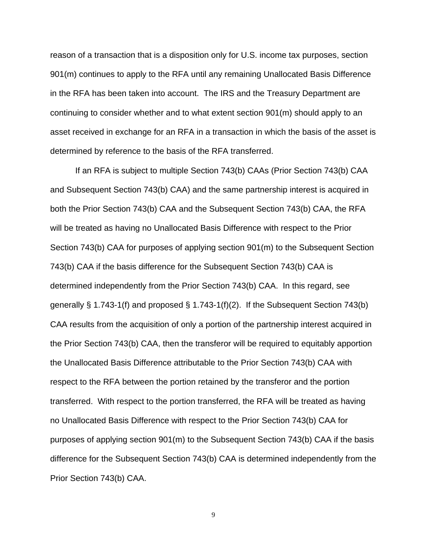reason of a transaction that is a disposition only for U.S. income tax purposes, section 901(m) continues to apply to the RFA until any remaining Unallocated Basis Difference in the RFA has been taken into account. The IRS and the Treasury Department are continuing to consider whether and to what extent section 901(m) should apply to an asset received in exchange for an RFA in a transaction in which the basis of the asset is determined by reference to the basis of the RFA transferred.

If an RFA is subject to multiple Section 743(b) CAAs (Prior Section 743(b) CAA and Subsequent Section 743(b) CAA) and the same partnership interest is acquired in both the Prior Section 743(b) CAA and the Subsequent Section 743(b) CAA, the RFA will be treated as having no Unallocated Basis Difference with respect to the Prior Section 743(b) CAA for purposes of applying section 901(m) to the Subsequent Section 743(b) CAA if the basis difference for the Subsequent Section 743(b) CAA is determined independently from the Prior Section 743(b) CAA. In this regard, see generally § 1.743-1(f) and proposed § 1.743-1(f)(2). If the Subsequent Section 743(b) CAA results from the acquisition of only a portion of the partnership interest acquired in the Prior Section 743(b) CAA, then the transferor will be required to equitably apportion the Unallocated Basis Difference attributable to the Prior Section 743(b) CAA with respect to the RFA between the portion retained by the transferor and the portion transferred. With respect to the portion transferred, the RFA will be treated as having no Unallocated Basis Difference with respect to the Prior Section 743(b) CAA for purposes of applying section 901(m) to the Subsequent Section 743(b) CAA if the basis difference for the Subsequent Section 743(b) CAA is determined independently from the Prior Section 743(b) CAA.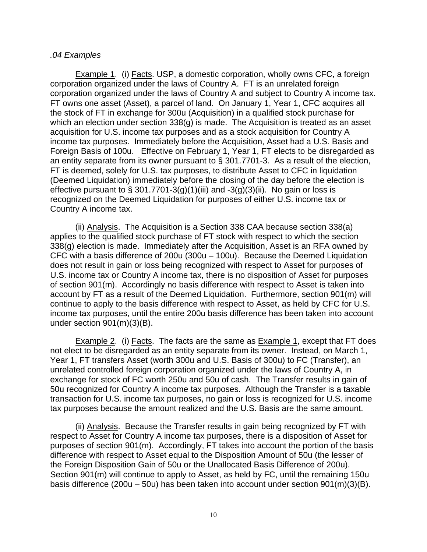# *.04 Examples*

Example 1. (i) Facts. USP, a domestic corporation, wholly owns CFC, a foreign corporation organized under the laws of Country A. FT is an unrelated foreign corporation organized under the laws of Country A and subject to Country A income tax. FT owns one asset (Asset), a parcel of land. On January 1, Year 1, CFC acquires all the stock of FT in exchange for 300u (Acquisition) in a qualified stock purchase for which an election under section 338(g) is made. The Acquisition is treated as an asset acquisition for U.S. income tax purposes and as a stock acquisition for Country A income tax purposes. Immediately before the Acquisition, Asset had a U.S. Basis and Foreign Basis of 100u. Effective on February 1, Year 1, FT elects to be disregarded as an entity separate from its owner pursuant to § 301.7701-3. As a result of the election, FT is deemed, solely for U.S. tax purposes, to distribute Asset to CFC in liquidation (Deemed Liquidation) immediately before the closing of the day before the election is effective pursuant to § 301.7701-3(g)(1)(iii) and -3(g)(3)(ii). No gain or loss is recognized on the Deemed Liquidation for purposes of either U.S. income tax or Country A income tax.

(ii) Analysis. The Acquisition is a Section 338 CAA because section 338(a) applies to the qualified stock purchase of FT stock with respect to which the section 338(g) election is made. Immediately after the Acquisition, Asset is an RFA owned by CFC with a basis difference of 200u (300u – 100u). Because the Deemed Liquidation does not result in gain or loss being recognized with respect to Asset for purposes of U.S. income tax or Country A income tax, there is no disposition of Asset for purposes of section 901(m). Accordingly no basis difference with respect to Asset is taken into account by FT as a result of the Deemed Liquidation. Furthermore, section 901(m) will continue to apply to the basis difference with respect to Asset, as held by CFC for U.S. income tax purposes, until the entire 200u basis difference has been taken into account under section 901(m)(3)(B).

**Example 2.** (i) Facts. The facts are the same as **Example 1**, except that FT does not elect to be disregarded as an entity separate from its owner. Instead, on March 1, Year 1, FT transfers Asset (worth 300u and U.S. Basis of 300u) to FC (Transfer), an unrelated controlled foreign corporation organized under the laws of Country A, in exchange for stock of FC worth 250u and 50u of cash. The Transfer results in gain of 50u recognized for Country A income tax purposes. Although the Transfer is a taxable transaction for U.S. income tax purposes, no gain or loss is recognized for U.S. income tax purposes because the amount realized and the U.S. Basis are the same amount.

(ii) Analysis. Because the Transfer results in gain being recognized by FT with respect to Asset for Country A income tax purposes, there is a disposition of Asset for purposes of section 901(m). Accordingly, FT takes into account the portion of the basis difference with respect to Asset equal to the Disposition Amount of 50u (the lesser of the Foreign Disposition Gain of 50u or the Unallocated Basis Difference of 200u). Section 901(m) will continue to apply to Asset, as held by FC, until the remaining 150u basis difference (200u – 50u) has been taken into account under section 901(m)(3)(B).